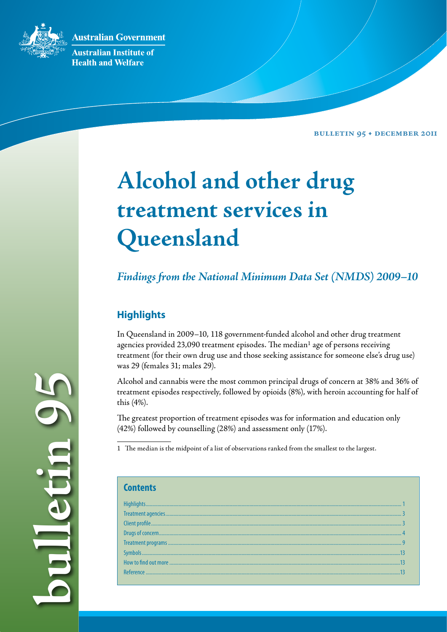**Australian Government** 



**Australian Institute of Health and Welfare** 

**Bulletin 95 • December 2011**

# **Alcohol and other drug treatment services in Queensland**

*Findings from the National Minimum Data Set (NMDS) 2009–10*

# **Highlights**

In Queensland in 2009–10, 118 government-funded alcohol and other drug treatment agencies provided 23,090 treatment episodes. The median<sup>1</sup> age of persons receiving treatment (for their own drug use and those seeking assistance for someone else's drug use) was 29 (females 31; males 29).

Alcohol and cannabis were the most common principal drugs of concern at 38% and 36% of treatment episodes respectively, followed by opioids (8%), with heroin accounting for half of this (4%).

The greatest proportion of treatment episodes was for information and education only (42%) followed by counselling (28%) and assessment only (17%).

1 The median is the midpoint of a list of observations ranked from the smallest to the largest.

**bulletin 95 PE did** L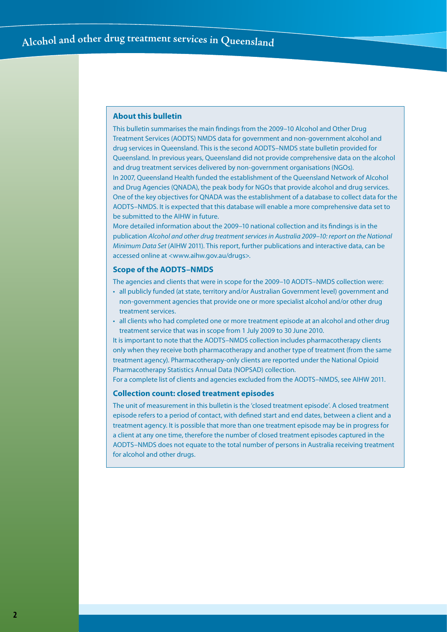#### **About this bulletin**

This bulletin summarises the main findings from the 2009–10 Alcohol and Other Drug Treatment Services (AODTS) NMDS data for government and non-government alcohol and drug services in Queensland. This is the second AODTS–NMDS state bulletin provided for Queensland. In previous years, Queensland did not provide comprehensive data on the alcohol and drug treatment services delivered by non-government organisations (NGOs). In 2007, Queensland Health funded the establishment of the Queensland Network of Alcohol and Drug Agencies (QNADA), the peak body for NGOs that provide alcohol and drug services. One of the key objectives for QNADA was the establishment of a database to collect data for the AODTS–NMDS. It is expected that this database will enable a more comprehensive data set to be submitted to the AIHW in future.

More detailed information about the 2009–10 national collection and its findings is in the publication *Alcohol and other drug treatment services in Australia 2009–10: report on the National Minimum Data Set* (AIHW 2011). This report, further publications and interactive data, can be accessed online at <www.aihw.gov.au/drugs>.

#### **Scope of the AODTS–NMDS**

The agencies and clients that were in scope for the 2009–10 AODTS–NMDS collection were:

- • all publicly funded (at state, territory and/or Australian Government level) government and non-government agencies that provide one or more specialist alcohol and/or other drug treatment services.
- • all clients who had completed one or more treatment episode at an alcohol and other drug treatment service that was in scope from 1 July 2009 to 30 June 2010.

It is important to note that the AODTS–NMDS collection includes pharmacotherapy clients only when they receive both pharmacotherapy and another type of treatment (from the same treatment agency). Pharmacotherapy-only clients are reported under the National Opioid Pharmacotherapy Statistics Annual Data (NOPSAD) collection*.* 

For a complete list of clients and agencies excluded from the AODTS–NMDS, see AIHW 2011.

#### **Collection count: closed treatment episodes**

The unit of measurement in this bulletin is the 'closed treatment episode'. A closed treatment episode refers to a period of contact, with defined start and end dates, between a client and a treatment agency. It is possible that more than one treatment episode may be in progress for a client at any one time, therefore the number of closed treatment episodes captured in the AODTS–NMDS does not equate to the total number of persons in Australia receiving treatment for alcohol and other drugs.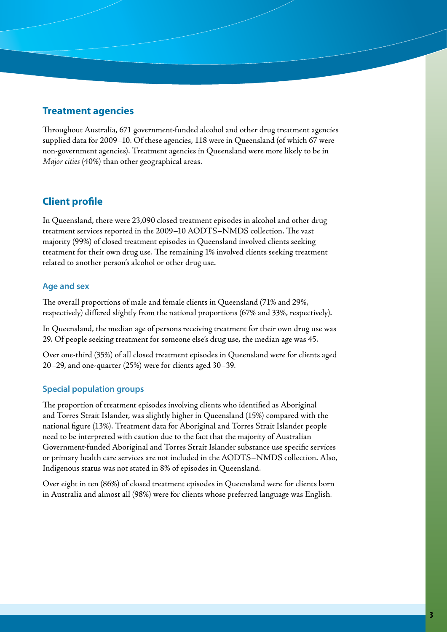# **Treatment agencies**

Throughout Australia, 671 government-funded alcohol and other drug treatment agencies supplied data for 2009–10. Of these agencies, 118 were in Queensland (of which 67 were non-government agencies). Treatment agencies in Queensland were more likely to be in *Major cities* (40%) than other geographical areas.

# **Client profile**

In Queensland, there were 23,090 closed treatment episodes in alcohol and other drug treatment services reported in the 2009–10 AODTS–NMDS collection. The vast majority (99%) of closed treatment episodes in Queensland involved clients seeking treatment for their own drug use. The remaining 1% involved clients seeking treatment related to another person's alcohol or other drug use.

## **Age and sex**

The overall proportions of male and female clients in Queensland (71% and 29%, respectively) differed slightly from the national proportions (67% and 33%, respectively).

In Queensland, the median age of persons receiving treatment for their own drug use was 29. Of people seeking treatment for someone else's drug use, the median age was 45.

Over one-third (35%) of all closed treatment episodes in Queensland were for clients aged 20–29, and one-quarter (25%) were for clients aged 30–39.

## **Special population groups**

The proportion of treatment episodes involving clients who identified as Aboriginal and Torres Strait Islander, was slightly higher in Queensland (15%) compared with the national figure (13%). Treatment data for Aboriginal and Torres Strait Islander people need to be interpreted with caution due to the fact that the majority of Australian Government-funded Aboriginal and Torres Strait Islander substance use specific services or primary health care services are not included in the AODTS–NMDS collection. Also, Indigenous status was not stated in 8% of episodes in Queensland.

Over eight in ten (86%) of closed treatment episodes in Queensland were for clients born in Australia and almost all (98%) were for clients whose preferred language was English.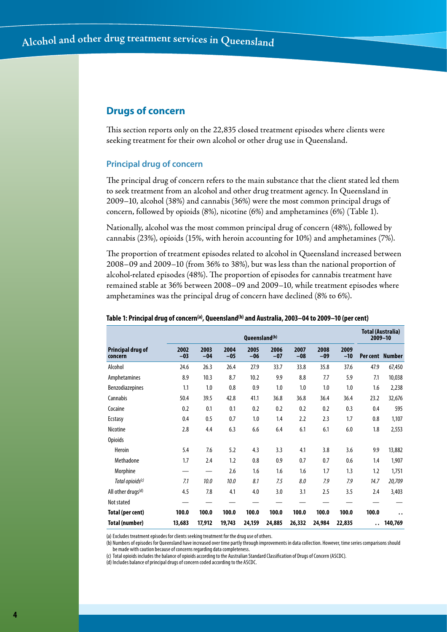# **Drugs of concern**

This section reports only on the 22,835 closed treatment episodes where clients were seeking treatment for their own alcohol or other drug use in Queensland.

#### **Principal drug of concern**

The principal drug of concern refers to the main substance that the client stated led them to seek treatment from an alcohol and other drug treatment agency. In Queensland in 2009–10, alcohol (38%) and cannabis (36%) were the most common principal drugs of concern, followed by opioids (8%), nicotine (6%) and amphetamines (6%) (Table 1).

Nationally, alcohol was the most common principal drug of concern (48%), followed by cannabis (23%), opioids (15%, with heroin accounting for 10%) and amphetamines (7%).

The proportion of treatment episodes related to alcohol in Queensland increased between 2008–09 and 2009–10 (from 36% to 38%), but was less than the national proportion of alcohol-related episodes (48%). The proportion of episodes for cannabis treatment have remained stable at 36% between 2008–09 and 2009–10, while treatment episodes where amphetamines was the principal drug of concern have declined (8% to 6%).

|                                     | Queensland <sup>(b)</sup> |               |               |               |               |               |               |               |                      | <b>Total (Australia)</b><br>$2009 - 10$ |  |
|-------------------------------------|---------------------------|---------------|---------------|---------------|---------------|---------------|---------------|---------------|----------------------|-----------------------------------------|--|
| <b>Principal drug of</b><br>concern | 2002<br>$-03$             | 2003<br>$-04$ | 2004<br>$-05$ | 2005<br>$-06$ | 2006<br>$-07$ | 2007<br>$-08$ | 2008<br>$-09$ | 2009<br>$-10$ |                      | Percent Number                          |  |
| Alcohol                             | 24.6                      | 26.3          | 26.4          | 27.9          | 33.7          | 33.8          | 35.8          | 37.6          | 47.9                 | 67,450                                  |  |
| Amphetamines                        | 8.9                       | 10.3          | 8.7           | 10.2          | 9.9           | 8.8           | 7.7           | 5.9           | 7.1                  | 10,038                                  |  |
| <b>Benzodiazepines</b>              | 1.1                       | 1.0           | 0.8           | 0.9           | 1.0           | 1.0           | 1.0           | 1.0           | 1.6                  | 2,238                                   |  |
| Cannabis                            | 50.4                      | 39.5          | 42.8          | 41.1          | 36.8          | 36.8          | 36.4          | 36.4          | 23.2                 | 32,676                                  |  |
| Cocaine                             | 0.2                       | 0.1           | 0.1           | 0.2           | 0.2           | 0.2           | 0.2           | 0.3           | 0.4                  | 595                                     |  |
| Ecstasy                             | 0.4                       | 0.5           | 0.7           | 1.0           | 1.4           | 2.2           | 2.3           | 1.7           | 0.8                  | 1,107                                   |  |
| Nicotine                            | 2.8                       | 4.4           | 6.3           | 6.6           | 6.4           | 6.1           | 6.1           | 6.0           | 1.8                  | 2,553                                   |  |
| <b>Opioids</b>                      |                           |               |               |               |               |               |               |               |                      |                                         |  |
| Heroin                              | 5.4                       | 7.6           | 5.2           | 4.3           | 3.3           | 4.1           | 3.8           | 3.6           | 9.9                  | 13,882                                  |  |
| Methadone                           | 1.7                       | 2.4           | 1.2           | 0.8           | 0.9           | 0.7           | 0.7           | 0.6           | 1.4                  | 1,907                                   |  |
| Morphine                            |                           |               | 2.6           | 1.6           | 1.6           | 1.6           | 1.7           | 1.3           | 1.2                  | 1,751                                   |  |
| Total opioids <sup>(c)</sup>        | 7.1                       | 10.0          | 10.0          | 8.1           | 7.5           | 8.0           | 7.9           | 7.9           | 14.7                 | 20,709                                  |  |
| All other drugs <sup>(d)</sup>      | 4.5                       | 7.8           | 4.1           | 4.0           | 3.0           | 3.1           | 2.5           | 3.5           | 2.4                  | 3,403                                   |  |
| Not stated                          |                           |               |               |               |               |               |               |               |                      |                                         |  |
| Total (per cent)                    | 100.0                     | 100.0         | 100.0         | 100.0         | 100.0         | 100.0         | 100.0         | 100.0         | 100.0                | $\ddot{\phantom{0}}$                    |  |
| Total (number)                      | 13,683                    | 17,912        | 19,743        | 24,159        | 24,885        | 26,332        | 24,984        | 22,835        | $\ddot{\phantom{0}}$ | 140,769                                 |  |

#### **Table 1: Principal drug of concern(a), Queensland(b) and Australia, 2003–04 to 2009–10 (per cent)**

(a) Excludes treatment episodes for clients seeking treatment for the drug use of others.

(b) Numbers of episodes for Queensland have increased over time partly through improvements in data collection. However, time series comparisons should be made with caution because of concerns regarding data completeness.

(c) Total opioids includes the balance of opioids according to the Australian Standard Classification of Drugs of Concern (ASCDC).

(d) Includes balance of principal drugs of concern coded according to the ASCDC.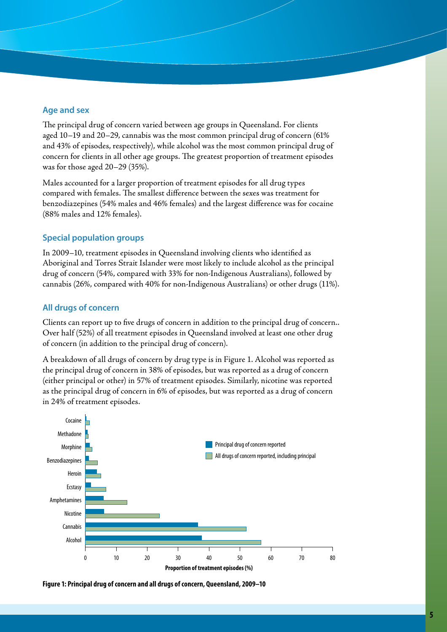## **Age and sex**

The principal drug of concern varied between age groups in Queensland. For clients aged 10–19 and 20–29, cannabis was the most common principal drug of concern (61% and 43% of episodes, respectively), while alcohol was the most common principal drug of concern for clients in all other age groups. The greatest proportion of treatment episodes was for those aged 20–29 (35%).

Males accounted for a larger proportion of treatment episodes for all drug types compared with females. The smallest difference between the sexes was treatment for benzodiazepines (54% males and 46% females) and the largest difference was for cocaine (88% males and 12% females).

## **Special population groups**

In 2009–10, treatment episodes in Queensland involving clients who identified as Aboriginal and Torres Strait Islander were most likely to include alcohol as the principal drug of concern (54%, compared with 33% for non-Indigenous Australians), followed by cannabis (26%, compared with 40% for non-Indigenous Australians) or other drugs (11%).

#### **All drugs of concern**

Clients can report up to five drugs of concern in addition to the principal drug of concern.. Over half (52%) of all treatment episodes in Queensland involved at least one other drug of concern (in addition to the principal drug of concern).

A breakdown of all drugs of concern by drug type is in Figure 1. Alcohol was reported as the principal drug of concern in 38% of episodes, but was reported as a drug of concern (either principal or other) in 57% of treatment episodes. Similarly, nicotine was reported as the principal drug of concern in 6% of episodes, but was reported as a drug of concern in 24% of treatment episodes.



**Figure 1: Principal drug of concern and all drugs of concern, Queensland, 2009–10**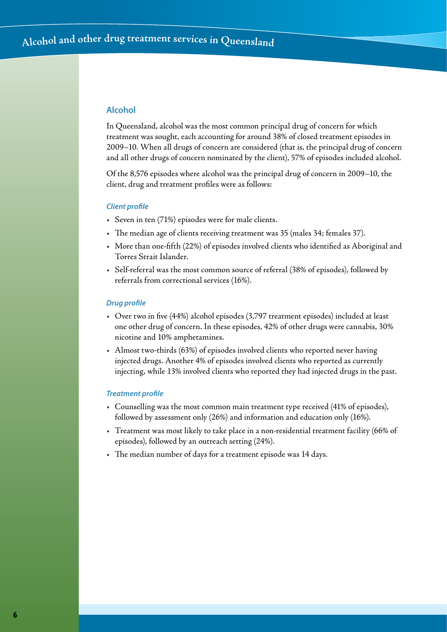#### **Alcohol**

In Queensland, alcohol was the most common principal drug of concern for which treatment was sought, each accounting for around 38% of closed treatment episodes in 2009–10. When all drugs of concern are considered (that is, the principal drug of concern and all other drugs of concern nominated by the client), 57% of episodes included alcohol.

Of the 8,576 episodes where alcohol was the principal drug of concern in 2009–10, the client, drug and treatment profiles were as follows:

#### *Client profile*

- • Seven in ten (71%) episodes were for male clients.
- • The median age of clients receiving treatment was 35 (males 34; females 37).
- • More than one-fifth (22%) of episodes involved clients who identified as Aboriginal and Torres Strait Islander.
- • Self-referral was the most common source of referral (38% of episodes), followed by referrals from correctional services (16%).

#### *Drug profile*

- • Over two in five (44%) alcohol episodes (3,797 treatment episodes) included at least one other drug of concern. In these episodes, 42% of other drugs were cannabis, 30% nicotine and 10% amphetamines.
- • Almost two-thirds (63%) of episodes involved clients who reported never having injected drugs. Another 4% of episodes involved clients who reported as currently injecting, while 13% involved clients who reported they had injected drugs in the past.

#### *Treatment profile*

- • Counselling was the most common main treatment type received (41% of episodes), followed by assessment only (26%) and information and education only (16%).
- • Treatment was most likely to take place in a non-residential treatment facility (66% of episodes), followed by an outreach setting (24%).
- • The median number of days for a treatment episode was 14 days*.*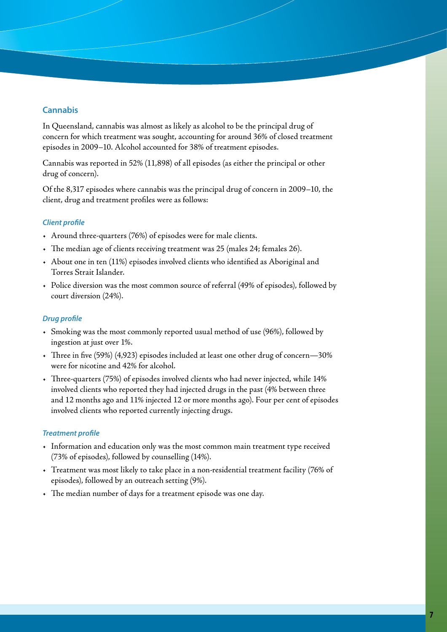## **Cannabis**

In Queensland, cannabis was almost as likely as alcohol to be the principal drug of concern for which treatment was sought, accounting for around 36% of closed treatment episodes in 2009–10. Alcohol accounted for 38% of treatment episodes.

Cannabis was reported in 52% (11,898) of all episodes (as either the principal or other drug of concern).

Of the 8,317 episodes where cannabis was the principal drug of concern in 2009–10, the client, drug and treatment profiles were as follows:

#### *Client profile*

- • Around three-quarters (76%) of episodes were for male clients.
- The median age of clients receiving treatment was 25 (males 24; females 26).
- • About one in ten (11%) episodes involved clients who identified as Aboriginal and Torres Strait Islander.
- • Police diversion was the most common source of referral (49% of episodes), followed by court diversion (24%).

#### *Drug profile*

- • Smoking was the most commonly reported usual method of use (96%), followed by ingestion at just over 1%.
- • Three in five (59%) (4,923) episodes included at least one other drug of concern—30% were for nicotine and 42% for alcohol.
- • Three-quarters (75%) of episodes involved clients who had never injected, while 14% involved clients who reported they had injected drugs in the past (4% between three and 12 months ago and 11% injected 12 or more months ago). Four per cent of episodes involved clients who reported currently injecting drugs.

#### *Treatment profile*

- • Information and education only was the most common main treatment type received (73% of episodes), followed by counselling (14%).
- • Treatment was most likely to take place in a non-residential treatment facility (76% of episodes), followed by an outreach setting (9%).
- • The median number of days for a treatment episode was one day.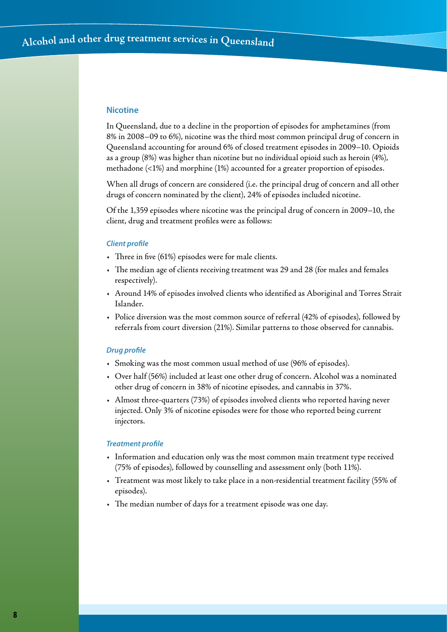#### **Nicotine**

In Queensland, due to a decline in the proportion of episodes for amphetamines (from 8% in 2008–09 to 6%), nicotine was the third most common principal drug of concern in Queensland accounting for around 6% of closed treatment episodes in 2009–10. Opioids as a group (8%) was higher than nicotine but no individual opioid such as heroin (4%), methadone (<1%) and morphine (1%) accounted for a greater proportion of episodes.

When all drugs of concern are considered (i.e. the principal drug of concern and all other drugs of concern nominated by the client), 24% of episodes included nicotine.

Of the 1,359 episodes where nicotine was the principal drug of concern in 2009–10, the client, drug and treatment profiles were as follows:

#### *Client profile*

- $\cdot$  Three in five (61%) episodes were for male clients.
- • The median age of clients receiving treatment was 29 and 28 (for males and females respectively).
- • Around 14% of episodes involved clients who identified as Aboriginal and Torres Strait Islander.
- • Police diversion was the most common source of referral (42% of episodes), followed by referrals from court diversion (21%). Similar patterns to those observed for cannabis.

#### *Drug profile*

- • Smoking was the most common usual method of use (96% of episodes).
- • Over half (56%) included at least one other drug of concern. Alcohol was a nominated other drug of concern in 38% of nicotine episodes, and cannabis in 37%.
- • Almost three-quarters (73%) of episodes involved clients who reported having never injected. Only 3% of nicotine episodes were for those who reported being current injectors.

#### *Treatment profile*

- • Information and education only was the most common main treatment type received (75% of episodes), followed by counselling and assessment only (both 11%).
- • Treatment was most likely to take place in a non-residential treatment facility (55% of episodes).
- • The median number of days for a treatment episode was one day.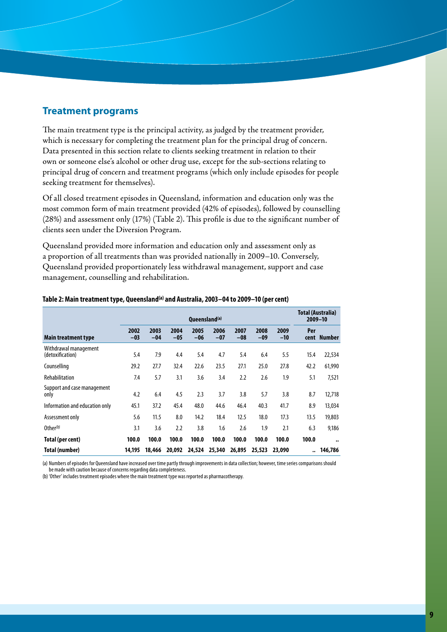## **Treatment programs**

The main treatment type is the principal activity, as judged by the treatment provider, which is necessary for completing the treatment plan for the principal drug of concern. Data presented in this section relate to clients seeking treatment in relation to their own or someone else's alcohol or other drug use, except for the sub-sections relating to principal drug of concern and treatment programs (which only include episodes for people seeking treatment for themselves).

Of all closed treatment episodes in Queensland, information and education only was the most common form of main treatment provided (42% of episodes), followed by counselling (28%) and assessment only (17%) (Table 2). This profile is due to the significant number of clients seen under the Diversion Program.

Queensland provided more information and education only and assessment only as a proportion of all treatments than was provided nationally in 2009–10. Conversely, Queensland provided proportionately less withdrawal management, support and case management, counselling and rehabilitation.

|                                           | Queensland <sup>(a)</sup> |               |               |               |               |               |               | Total (Australia)<br>$2009 - 10$ |                      |                      |
|-------------------------------------------|---------------------------|---------------|---------------|---------------|---------------|---------------|---------------|----------------------------------|----------------------|----------------------|
| Main treatment type                       | 2002<br>$-03$             | 2003<br>$-04$ | 2004<br>$-05$ | 2005<br>$-06$ | 2006<br>$-07$ | 2007<br>$-08$ | 2008<br>$-09$ | 2009<br>$-10$                    | Per<br>cent          | <b>Number</b>        |
| Withdrawal management<br>(detoxification) | 5.4                       | 7.9           | 4.4           | 5.4           | 4.7           | 5.4           | 6.4           | 5.5                              | 15.4                 | 22,534               |
| Counselling                               | 29.2                      | 27.7          | 32.4          | 22.6          | 23.5          | 27.1          | 25.0          | 27.8                             | 42.2                 | 61,990               |
| Rehabilitation                            | 7.4                       | 5.7           | 3.1           | 3.6           | 3.4           | 2.2           | 2.6           | 1.9                              | 5.1                  | 7,521                |
| Support and case management<br>only       | 4.2                       | 6.4           | 4.5           | 2.3           | 3.7           | 3.8           | 5.7           | 3.8                              | 8.7                  | 12,718               |
| Information and education only            | 45.1                      | 37.2          | 45.4          | 48.0          | 44.6          | 46.4          | 40.3          | 41.7                             | 8.9                  | 13,034               |
| Assessment only                           | 5.6                       | 11.5          | 8.0           | 14.2          | 18.4          | 12.5          | 18.0          | 17.3                             | 13.5                 | 19,803               |
| Other $(b)$                               | 3.1                       | 3.6           | 2.2           | 3.8           | 1.6           | 2.6           | 1.9           | 2.1                              | 6.3                  | 9,186                |
| Total (per cent)                          | 100.0                     | 100.0         | 100.0         | 100.0         | 100.0         | 100.0         | 100.0         | 100.0                            | 100.0                | $\ddot{\phantom{0}}$ |
| Total (number)                            | 14,195                    | 18,466        | 20,092        | 24,524        | 25,340        | 26,895        | 25,523        | 23,090                           | $\ddot{\phantom{a}}$ | 146,786              |

#### **Table 2: Main treatment type, Queensland(a) and Australia, 2003–04 to 2009–10 (per cent)**

(a) Numbers of episodes for Queensland have increased over time partly through improvements in data collection; however, time series comparisons should be made with caution because of concerns regarding data completeness.

(b) 'Other' includes treatment episodes where the main treatment type was reported as pharmacotherapy.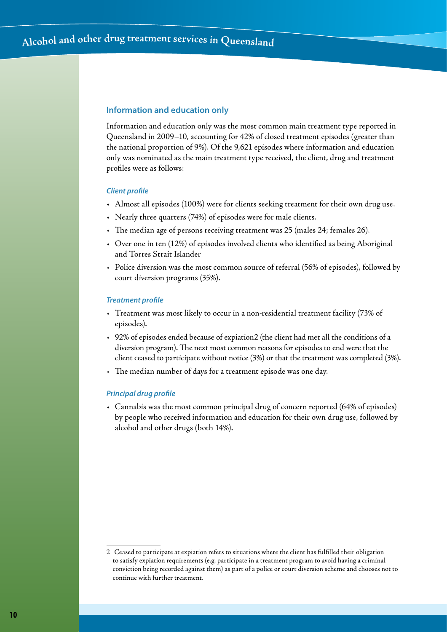#### **Information and education only**

Information and education only was the most common main treatment type reported in Queensland in 2009–10, accounting for 42% of closed treatment episodes (greater than the national proportion of 9%). Of the 9,621 episodes where information and education only was nominated as the main treatment type received, the client, drug and treatment profiles were as follows:

#### *Client profile*

- • Almost all episodes (100%) were for clients seeking treatment for their own drug use.
- • Nearly three quarters (74%) of episodes were for male clients.
- • The median age of persons receiving treatment was 25 (males 24; females 26).
- • Over one in ten (12%) of episodes involved clients who identified as being Aboriginal and Torres Strait Islander
- • Police diversion was the most common source of referral (56% of episodes), followed by court diversion programs (35%).

#### *Treatment profile*

- • Treatment was most likely to occur in a non-residential treatment facility (73% of episodes).
- • 92% of episodes ended because of expiation2 (the client had met all the conditions of a diversion program). The next most common reasons for episodes to end were that the client ceased to participate without notice (3%) or that the treatment was completed (3%).
- The median number of days for a treatment episode was one day.

#### *Principal drug profile*

• Cannabis was the most common principal drug of concern reported (64% of episodes) by people who received information and education for their own drug use, followed by alcohol and other drugs (both 14%).

<sup>2</sup> Ceased to participate at expiation refers to situations where the client has fulfilled their obligation to satisfy expiation requirements (e.g. participate in a treatment program to avoid having a criminal conviction being recorded against them) as part of a police or court diversion scheme and chooses not to continue with further treatment.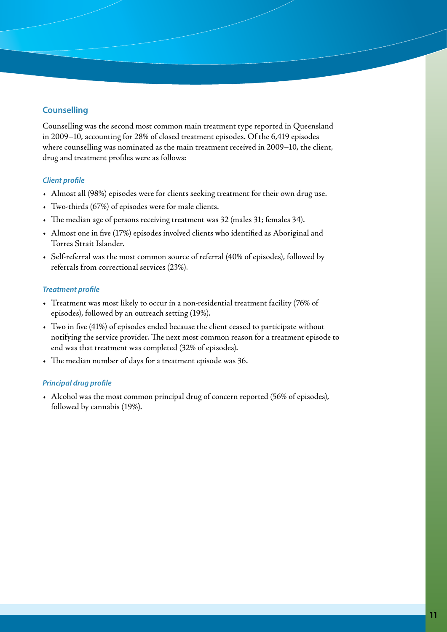## **Counselling**

Counselling was the second most common main treatment type reported in Queensland in 2009–10, accounting for 28% of closed treatment episodes. Of the 6,419 episodes where counselling was nominated as the main treatment received in 2009–10, the client, drug and treatment profiles were as follows:

#### *Client profile*

- • Almost all (98%) episodes were for clients seeking treatment for their own drug use.
- • Two-thirds (67%) of episodes were for male clients.
- • The median age of persons receiving treatment was 32 (males 31; females 34).
- • Almost one in five (17%) episodes involved clients who identified as Aboriginal and Torres Strait Islander.
- • Self-referral was the most common source of referral (40% of episodes), followed by referrals from correctional services (23%).

#### *Treatment profile*

- • Treatment was most likely to occur in a non-residential treatment facility (76% of episodes), followed by an outreach setting (19%).
- • Two in five (41%) of episodes ended because the client ceased to participate without notifying the service provider. The next most common reason for a treatment episode to end was that treatment was completed (32% of episodes).
- • The median number of days for a treatment episode was 36.

#### *Principal drug profile*

• Alcohol was the most common principal drug of concern reported (56% of episodes), followed by cannabis (19%).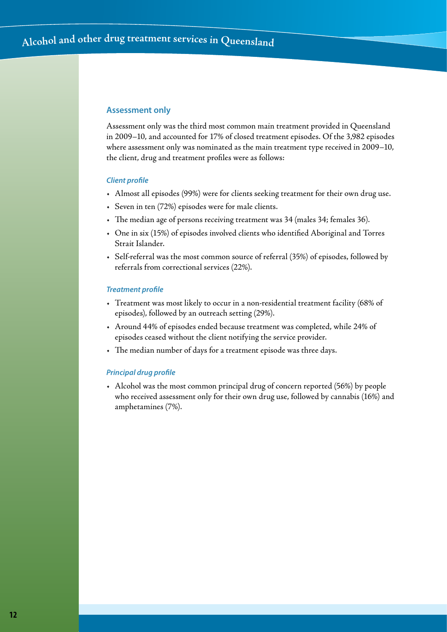#### **Assessment only**

Assessment only was the third most common main treatment provided in Queensland in 2009–10, and accounted for 17% of closed treatment episodes. Of the 3,982 episodes where assessment only was nominated as the main treatment type received in 2009–10, the client, drug and treatment profiles were as follows:

#### *Client profile*

- • Almost all episodes (99%) were for clients seeking treatment for their own drug use.
- • Seven in ten (72%) episodes were for male clients.
- • The median age of persons receiving treatment was 34 (males 34; females 36).
- • One in six (15%) of episodes involved clients who identified Aboriginal and Torres Strait Islander.
- • Self-referral was the most common source of referral (35%) of episodes, followed by referrals from correctional services (22%).

#### *Treatment profile*

- • Treatment was most likely to occur in a non-residential treatment facility (68% of episodes), followed by an outreach setting (29%).
- • Around 44% of episodes ended because treatment was completed, while 24% of episodes ceased without the client notifying the service provider.
- • The median number of days for a treatment episode was three days.

#### *Principal drug profile*

• Alcohol was the most common principal drug of concern reported (56%) by people who received assessment only for their own drug use, followed by cannabis (16%) and amphetamines (7%).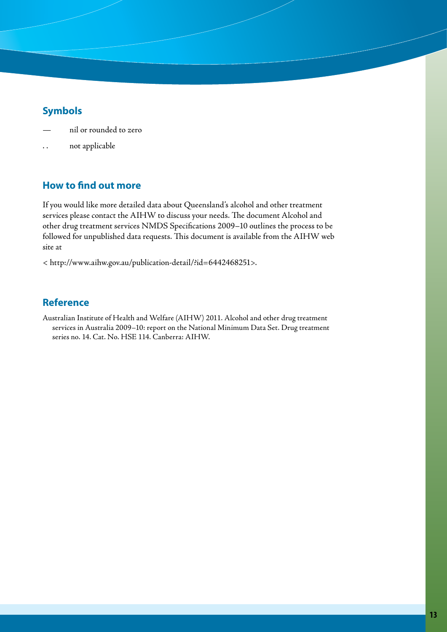# **Symbols**

- nil or rounded to zero
- not applicable

# **How to find out more**

If you would like more detailed data about Queensland's alcohol and other treatment services please contact the AIHW to discuss your needs. The document Alcohol and other drug treatment services NMDS Specifications 2009–10 outlines the process to be followed for unpublished data requests. This document is available from the AIHW web site at

< http://www.aihw.gov.au/publication-detail/?id=6442468251>.

# **Reference**

Australian Institute of Health and Welfare (AIHW) 2011. Alcohol and other drug treatment services in Australia 2009–10: report on the National Minimum Data Set. Drug treatment series no. 14. Cat. No. HSE 114. Canberra: AIHW.